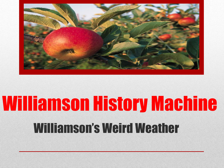

# Williamson History Machine Williamson's Weird Weather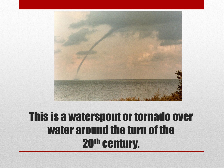

#### This is a waterspout or tornado over water around the turn of the 20th century.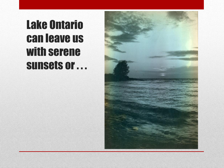## Lake Ontario can leave us with serene sunsets or . . .

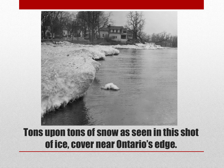

#### Tons upon tons of snow as seen in this shot of ice, cover near Ontario's edge.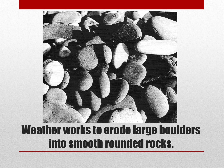

### Weather works to erode large boulders into smooth rounded rocks.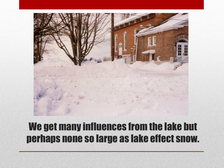

#### We get many influences from the lake but perhaps none so large as lake effect snow.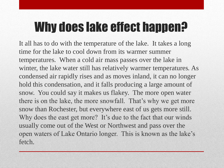## Why does lake effect happen?

It all has to do with the temperature of the lake. It takes a long time for the lake to cool down from its warmer summer temperatures. When a cold air mass passes over the lake in winter, the lake water still has relatively warmer temperatures. As condensed air rapidly rises and as moves inland, it can no longer hold this condensation, and it falls producing a large amount of snow. You could say it makes us flakey. The more open water there is on the lake, the more snowfall. That's why we get more snow than Rochester, but everywhere east of us gets more still. Why does the east get more? It's due to the fact that our winds usually come out of the West or Northwest and pass over the open waters of Lake Ontario longer. This is known as the lake's fetch.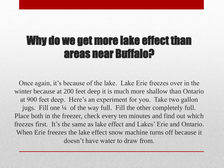### Why do we get more lake effect than areas near Buffalo?

Once again, it's because of the lake. Lake Erie freezes over in the winter because at 200 feet deep it is much more shallow than Ontario at 900 feet deep. Here's an experiment for you. Take two gallon jugs. Fill one ¼ of the way full. Fill the other completely full. Place both in the freezer, check every ten minutes and find out which freezes first. It's the same as lake effect and Lakes' Erie and Ontario. When Erie freezes the lake effect snow machine turns off because it doesn't have water to draw from.